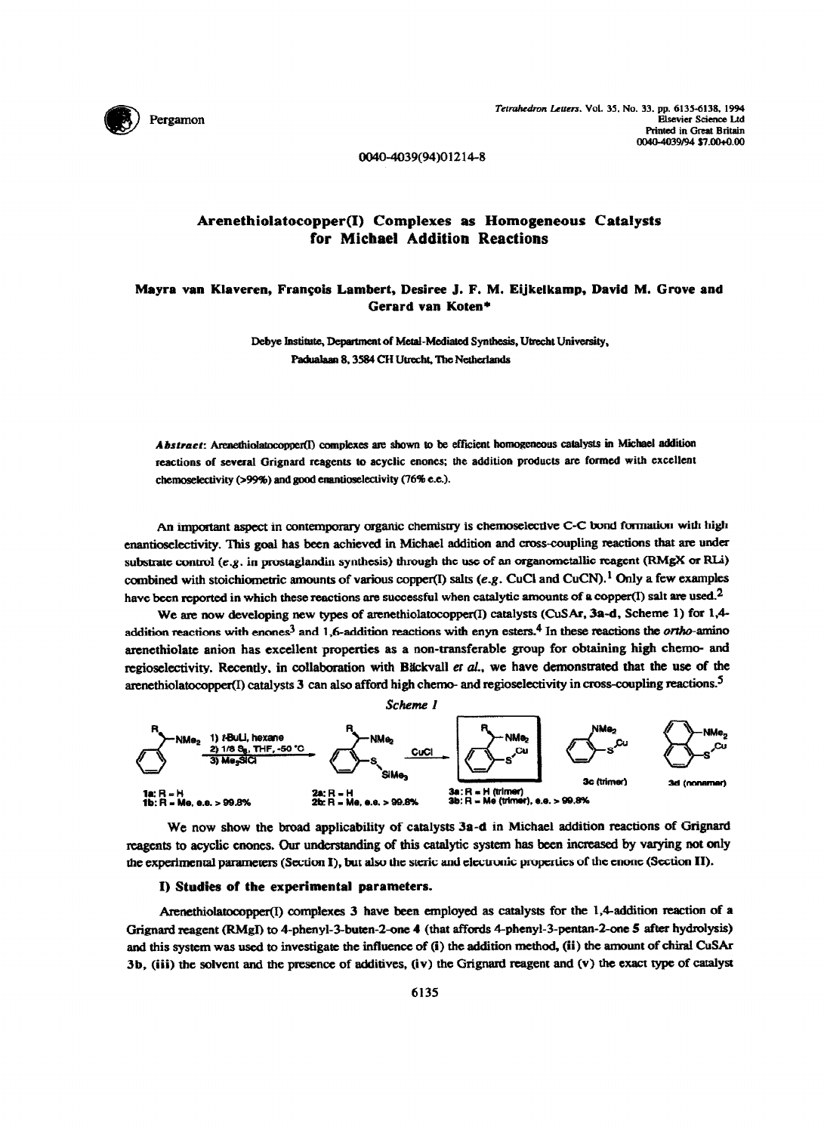

0040-4039(94)01214-8

# **Arenethiolatocopper(I) Complexes as Homogeneous Catalysts for Michael Addition Reactions**

# Mayra van Klaveren, François Lambert, Desiree J. F. M. Eijkelkamp, David M. Grove and **Gerard van Koten\***

**Debye Institute, Department of Metal-Mediated Synthesis, Utrecht University,** Padualaan 8, 3584 CH Utrecht, The Netherlands

Abstract: Arenethiolatocopper(I) complexes are shown to be efficient homogeneous catalysts in Michael addition reactions of several Grignard reagents to acyclic enones; the addition products are formed with excellent chemoselectivity (>99%) and good enantioselectivity (76% e.e.).

An important aspect in contemporary organic chemistry is chemoselective C-C bond formation with high enantioselectivity. This goal has been achieved in Michael addition and cross-coupling reactions that are under substrate control (e.g. in prostaglandin synthesis) through the use of an organometallic reagent (RMgX or RLi) combined with stoichiometric amounts of various copper(I) salts (e.g. CuCl and CuCN).<sup>1</sup> Only a few examples have been reported in which these reactions are successful when catalytic amounts of a copper(I) salt are used.<sup>2</sup>

We are now developing new types of arenethiolatocopper(I) catalysts (CuSAr, 3a-d, Scheme 1) for 1,4addition reactions with enones<sup>3</sup> and 1,6-addition reactions with enyn esters.<sup>4</sup> In these reactions the *ortho*-amino arenethiolate anion has excellent properties as a non-transferable group for obtaining high chemo- and regioselectivity. Recently, in collaboration with Bäckvall et al., we have demonstrated that the use of the arenethiolatocopper(I) catalysts 3 can also afford high chemo- and regioselectivity in cross-coupling reactions.<sup>5</sup>



We now show the broad applicability of catalysts  $3a-d$  in Michael addition reactions of Grignard reagents to acyclic enones. Our understanding of this catalytic system has been increased by varying not only the experimental parameters (Section I), but also the steric and electronic properties of the enone (Section II).

## **I) Studies of the experimental parameters.**

Arenethiolatocopper(I) complexes 3 have been employed as catalysts for the 1,4-addition reaction of a Grignard reagent (RMgI) to 4-phenyl-3-buten-2-one 4 (that affords 4-phenyl-3-pentan-2-one 5 after hydrolysis) and this system was used to investigate the influence of (i) the addition method, (ii) the amount of chiral CuSAr **3b, (iii) the solvent aud the presence of additives, (iv) the Grignatd reagent and (v) the exact type of catalyst**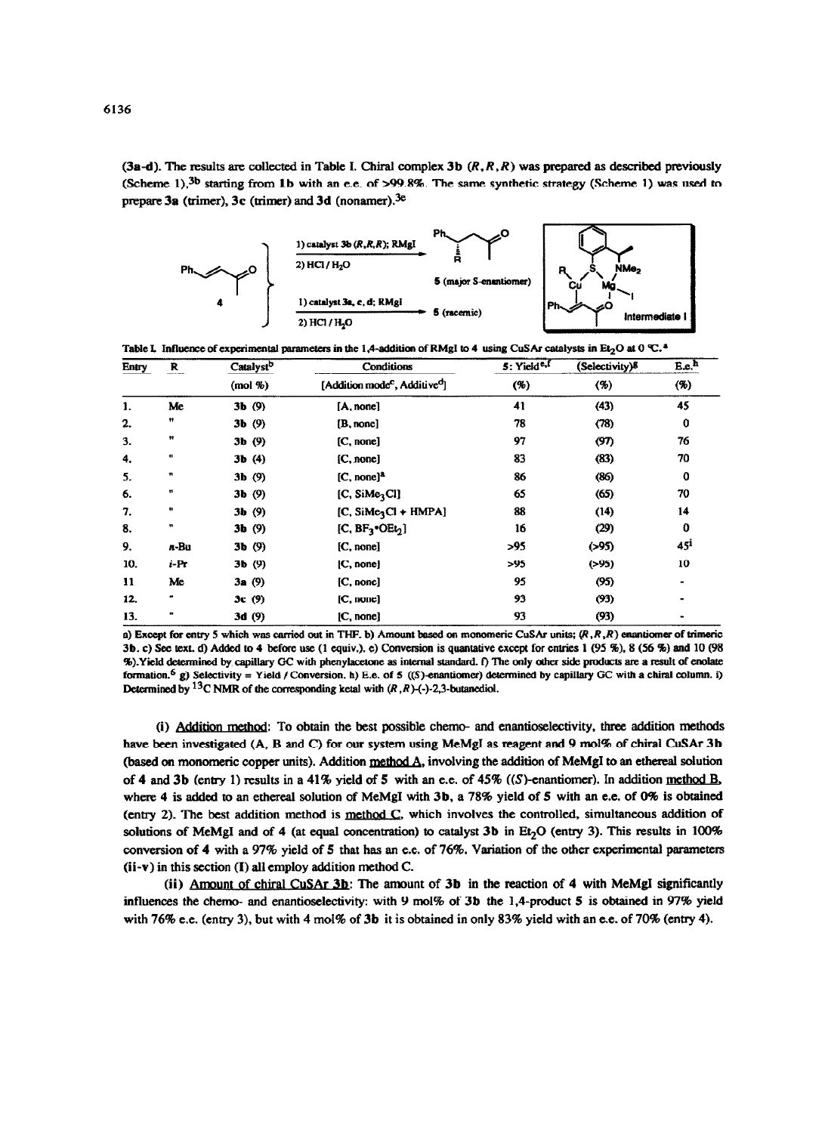(3a-d). The results are collected in Table I. Chiral complex 3b  $(R, R, R)$  was prepared as described previously (Scheme 1),<sup>3b</sup> starting from 1b with an e.e. of >99.8%. The same synthetic strategy (Scheme 1) was used to prepare 3a (trimer), 3c (trimer) and 3d (nonamer).<sup>3e</sup>



Table I. Influence of experimental parameters in the 1,4-addition of RMgI to 4 using CuSAr catalysts in Et<sub>2</sub>O at 0 °C.<sup>4</sup>

| Entry | R                | Catalystb | Conditions                                            | 5: Yield <sup>e,f</sup> | (Selectivity)8 | E.e.            |
|-------|------------------|-----------|-------------------------------------------------------|-------------------------|----------------|-----------------|
|       |                  | (mod %    | [Addition mode <sup>c</sup> , Additive <sup>d</sup> ] | (%)                     | (%)            | ( %)            |
| 1.    | Me               | 3b(9)     | [A, none]                                             | 41                      | (43)           | 45              |
| 2.    | Ħ                | 3b(9)     | [B, none]                                             | 78                      | (78)           | $\mathbf 0$     |
| 3.    | 11               | 3b(9)     | [C, none]                                             | 97                      | (97)           | 76              |
| 4.    | $\bullet\bullet$ | 3b(4)     | [C, none]                                             | 83                      | (83)           | 70              |
| 5.    | $\mathbf{H}$     | $3b$ (9)  | $[C, none]^2$                                         | 86                      | (86)           | $\mathbf o$     |
| 6.    | $\mathbf{H}$     | 3b(9)     | [C, SiMe <sub>3</sub> Cl]                             | 65                      | (65)           | 70              |
| 7.    | ₩                | 3b(9)     | $[C, Sime3Cl + HMPA]$                                 | 88                      | (14)           | 14              |
| 8.    | $\pmb{\pi}$      | 3b(9)     | [C, $BF_3$ <sup>*</sup> OEt <sub>2</sub> ]            | 16                      | (29)           | 0               |
| 9.    | $n$ -Bu          | 3b(9)     | [C, none]                                             | >95                     | ( > 95)        | 45 <sup>i</sup> |
| 10.   | $i$ -Pr          | 3b(9)     | [C, none]                                             | >95                     | ( > 95)        | 10              |
| 11    | Me               | 3a(9)     | [C, none]                                             | 95                      | (95)           |                 |
| 12.   | m                | 3c(9)     | [C, none]                                             | 93                      | (93)           | $\blacksquare$  |
| 13.   | ŧ,               | 3d(9)     | [C, none]                                             | 93                      | (93)           |                 |

a) Except for entry 5 which was carried out in THF. b) Amount based on monomeric CuSAr units;  $(R, R, R)$  enantiomer of trimeric 3b. c) See text. d) Added to 4 before use (1 equiv.), e) Conversion is quantative except for entries 1 (95 %), 8 (56 %) and 10 (98 %). Yield determined by capillary GC with phenylacetone as internal standard. f) The only other side products are a result of enolate formation.<sup>6</sup> g) Selectivity = Yield / Conversion. h) E.e. of 5 ((S)-enantiomer) determined by capillary GC with a chiral column. i) Determined by <sup>13</sup>C NMR of the corresponding ketal with  $(R, R)$ -(-)-2,3-butanediol.

(i) Addition method: To obtain the best possible chemo- and enantioselectivity, three addition methods have been investigated (A, B and C) for our system using MeMgI as reagent and 9 mol% of chiral CuSAr 3b (based on monomeric copper units). Addition method A, involving the addition of MeMgI to an ethereal solution of 4 and 3b (entry 1) results in a 41% yield of 5 with an e.e. of 45% ((S)-enantiomer). In addition method B, where 4 is added to an ethereal solution of MeMgI with 3b, a 78% yield of 5 with an e.e. of 0% is obtained (entry 2). The best addition method is method C, which involves the controlled, simultaneous addition of solutions of MeMgI and of 4 (at equal concentration) to catalyst 3b in Et<sub>2</sub>O (entry 3). This results in 100% conversion of 4 with a 97% yield of 5 that has an e.e. of 76%. Variation of the other experimental parameters  $(ii-v)$  in this section  $(I)$  all employ addition method C.

(ii) Amount of chiral CuSAr 3b: The amount of 3b in the reaction of 4 with MeMgI significantly influences the chemo- and enantioselectivity: with 9 mol% of 3b the 1,4-product 5 is obtained in 97% yield with 76% e.e. (entry 3), but with 4 mol% of 3b it is obtained in only 83% yield with an e.e. of 70% (entry 4).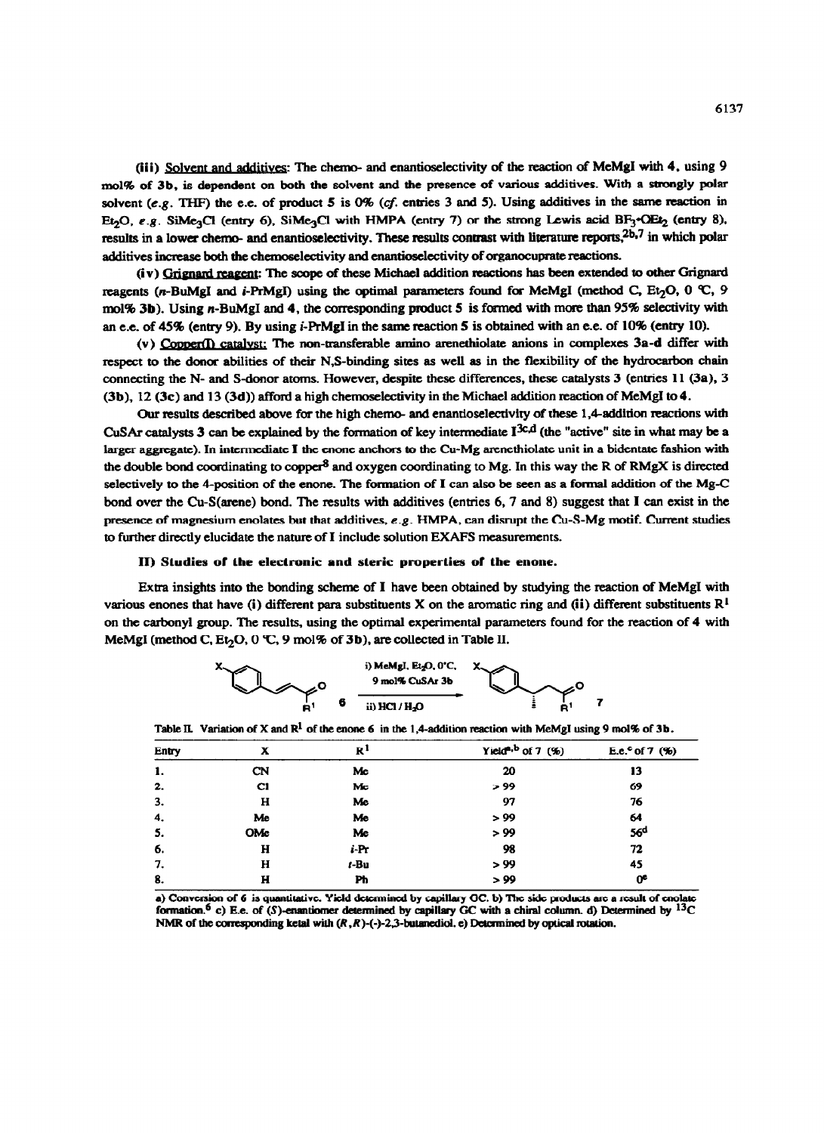(iii) Solvent and additives: The chemo- and enantioselectivity of the reaction of MeMgI with 4, using 9 **mol% of 3b, is dependent on both the solvent and the presence of various additives. With a strongly polar**  solvent (e.g. THF) the e.e. of product  $5$  is  $0\%$  (cf. entries 3 and 5). Using additives in the same reaction in Et<sub>2</sub>O, e.g. SiMe<sub>3</sub>Cl (entry 6), SiMe<sub>3</sub>Cl with **HMPA** (entry 7) or the strong Lewis acid BF<sub>3</sub><sup>+</sup>OEt<sub>2</sub> (entry 8), results in a lower chemo- and enantioselectivity. These results contrast with literature reports,<sup>2b,7</sup> in which polar **additives increase both the chemoseleetivity and enantioselectivity of organocuprate reactions.** 

(iv) Grignard reagent: The scope of these Michael addition reactions has been extended to other Grignard **reagents (n-BuMgI and**  $i$ **-PrMgI) using the optimal parameters found for MeMgI (method C, Et<sub>2</sub>O, 0 °C, 9** mol% 3b). Using n-BuMgI and 4, the corresponding product 5 is formed with more than 95% selectivity with **an e.e. of 45% (entry 9). By using i-PrMgI in the same reaction 5 is obtained with an e.e. of 10% (entry 10).** 

(v) Copper(I) catalyst: The non-transferable amino arenethiolate anions in complexes 3a-d differ with respect to the donor abilities of their N,S-binding sites as well as in the flexibility of the hydrocarbon chain **connecting the N- and S-donor atoms. However, despite these differences, these catalysts 3 (entries 11 (3a), 3 (3b), 12 (3c) and 13 (3d)) afford a high chemoselectivity in the Michael addition reaction of MeMgI to 4.** 

Our results described above for the high chemo- and enantioselectivity of these 1,4-addition reactions with CuSAr catalysts 3 can be explained by the formation of key intermediate I<sup>3c,d</sup> (the "active" site in what may be a **larger aggtegate). In intermediate I the enone anchors to the Cu-Mg arenethiolate unit in a bidentate fashion with**  the double bond coordinating to copper<sup>8</sup> and oxygen coordinating to Mg. In this way the R of RMgX is directed **selectively to the 4-position of the enone. The formation of I can also be seen as a formal addition of the Mg-C bond over the Cu-S(arene) bond. The results with additives (entries 6,7 and 8) suggest that I can exist in the**  presence of magnesium enolates but that additives, e.g. HMPA, can disrupt the Cu-S-Mg motif. Current studies **to further directly elucidate the nature of I include solution EXAFS measurements.** 

### **II) Studies of the electronic and steric properties of the enone.**

**Extra insights into the bonding scheme of I have been obtained by studying the reaction of MeMgI with various enones that have (i) different para substituents X on the aromatic ring and (ii) different substituents**  $R<sup>1</sup>$ **on the carbonyl group. The results, using the optimal experimental parameters found for the reaction of 4 with MeMgI** (method C,  $Et_2O$ , 0 °C, 9 mol% of **3b**), are collected in Table II.



Table IL Variation of X and  $\mathbb{R}^1$  of the enone 6 in the 1,4-addition reaction with McMgI using 9 mol% of 3b.

| Entry | x         | $\mathbf{R}^1$ | Yield <sup>a, b</sup> of 7 $($ %) | E.e. <sup>c</sup> of 7 $(%)$ |
|-------|-----------|----------------|-----------------------------------|------------------------------|
| 1.    | <b>CN</b> | Mc             | 20                                | 13                           |
| 2.    | C1        | Mc             | > 99                              | 69                           |
| 3.    | н         | Me             | 97                                | 76                           |
| 4.    | Me        | Me             | > 99                              | 64                           |
| 5.    | OMe       | Me             | > 99                              | 56 <sup>d</sup>              |
| 6.    | H         | i-Pr           | 98                                | 72                           |
| 7.    | н         | $t - Bu$       | > 99                              | 45                           |
| 8.    | н         | Ph             | > 99                              | œ                            |

a) Conversion of 6 is quantitative. Yield determined by capillary GC. b) The side products are a result of enolate formation.<sup>6</sup> c) E.e. of (S)-enantiomer determined by capillary GC with a chiral column. d) Determined by  $13C$ NMR of the corresponding ketal with  $(R, R)$ -(-)-2,3-butanediol. e) Determined by optical rotation.